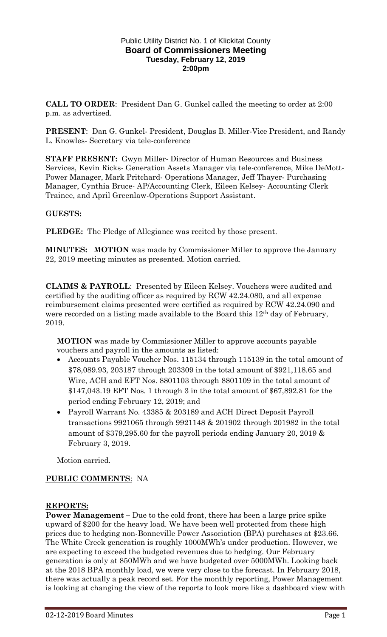### Public Utility District No. 1 of Klickitat County **Board of Commissioners Meeting Tuesday, February 12, 2019 2:00pm**

**CALL TO ORDER**: President Dan G. Gunkel called the meeting to order at 2:00 p.m. as advertised.

**PRESENT**: Dan G. Gunkel- President, Douglas B. Miller-Vice President, and Randy L. Knowles- Secretary via tele-conference

**STAFF PRESENT:** Gwyn Miller- Director of Human Resources and Business Services, Kevin Ricks- Generation Assets Manager via tele-conference, Mike DeMott-Power Manager, Mark Pritchard- Operations Manager, Jeff Thayer- Purchasing Manager, Cynthia Bruce- AP/Accounting Clerk, Eileen Kelsey- Accounting Clerk Trainee, and April Greenlaw-Operations Support Assistant.

# **GUESTS:**

**PLEDGE:** The Pledge of Allegiance was recited by those present.

**MINUTES: MOTION** was made by Commissioner Miller to approve the January 22, 2019 meeting minutes as presented. Motion carried.

**CLAIMS & PAYROLL**: Presented by Eileen Kelsey. Vouchers were audited and certified by the auditing officer as required by RCW 42.24.080, and all expense reimbursement claims presented were certified as required by RCW 42.24.090 and were recorded on a listing made available to the Board this 12<sup>th</sup> day of February, 2019.

**MOTION** was made by Commissioner Miller to approve accounts payable vouchers and payroll in the amounts as listed:

- Accounts Payable Voucher Nos. 115134 through 115139 in the total amount of \$78,089.93, 203187 through 203309 in the total amount of \$921,118.65 and Wire, ACH and EFT Nos. 8801103 through 8801109 in the total amount of \$147,043.19 EFT Nos. 1 through 3 in the total amount of \$67,892.81 for the period ending February 12, 2019; and
- Payroll Warrant No. 43385 & 203189 and ACH Direct Deposit Payroll transactions 9921065 through 9921148 & 201902 through 201982 in the total amount of \$379,295.60 for the payroll periods ending January 20, 2019 & February 3, 2019.

Motion carried.

### **PUBLIC COMMENTS**: NA

### **REPORTS:**

**Power Management** – Due to the cold front, there has been a large price spike upward of \$200 for the heavy load. We have been well protected from these high prices due to hedging non-Bonneville Power Association (BPA) purchases at \$23.66. The White Creek generation is roughly 1000MWh's under production. However, we are expecting to exceed the budgeted revenues due to hedging. Our February generation is only at 850MWh and we have budgeted over 5000MWh. Looking back at the 2018 BPA monthly load, we were very close to the forecast. In February 2018, there was actually a peak record set. For the monthly reporting, Power Management is looking at changing the view of the reports to look more like a dashboard view with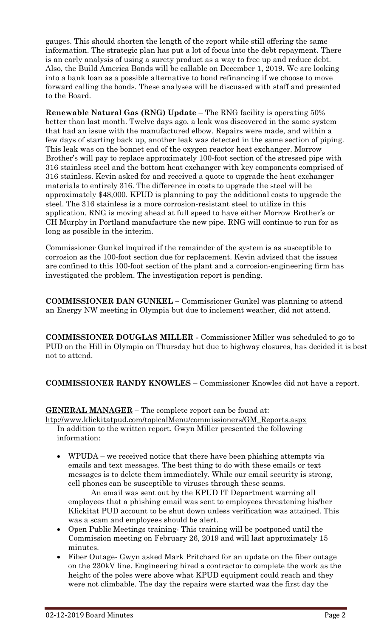gauges. This should shorten the length of the report while still offering the same information. The strategic plan has put a lot of focus into the debt repayment. There is an early analysis of using a surety product as a way to free up and reduce debt. Also, the Build America Bonds will be callable on December 1, 2019. We are looking into a bank loan as a possible alternative to bond refinancing if we choose to move forward calling the bonds. These analyses will be discussed with staff and presented to the Board.

**Renewable Natural Gas (RNG) Update** – The RNG facility is operating 50% better than last month. Twelve days ago, a leak was discovered in the same system that had an issue with the manufactured elbow. Repairs were made, and within a few days of starting back up, another leak was detected in the same section of piping. This leak was on the bonnet end of the oxygen reactor heat exchanger. Morrow Brother's will pay to replace approximately 100-foot section of the stressed pipe with 316 stainless steel and the bottom heat exchanger with key components comprised of 316 stainless. Kevin asked for and received a quote to upgrade the heat exchanger materials to entirely 316. The difference in costs to upgrade the steel will be approximately \$48,000. KPUD is planning to pay the additional costs to upgrade the steel. The 316 stainless is a more corrosion-resistant steel to utilize in this application. RNG is moving ahead at full speed to have either Morrow Brother's or CH Murphy in Portland manufacture the new pipe. RNG will continue to run for as long as possible in the interim.

Commissioner Gunkel inquired if the remainder of the system is as susceptible to corrosion as the 100-foot section due for replacement. Kevin advised that the issues are confined to this 100-foot section of the plant and a corrosion-engineering firm has investigated the problem. The investigation report is pending.

**COMMISSIONER DAN GUNKEL –** Commissioner Gunkel was planning to attend an Energy NW meeting in Olympia but due to inclement weather, did not attend.

**COMMISSIONER DOUGLAS MILLER -** Commissioner Miller was scheduled to go to PUD on the Hill in Olympia on Thursday but due to highway closures, has decided it is best not to attend.

**COMMISSIONER RANDY KNOWLES** – Commissioner Knowles did not have a report.

**GENERAL MANAGER –** The complete report can be found at:

[htp://www.klickitatpud.com/topicalMenu/commissioners/GM\\_Reports.aspx](http://www.klickitatpud.com/topicalMenu/commissioners/GM_Reports.aspx) In addition to the written report, Gwyn Miller presented the following information:

 WPUDA – we received notice that there have been phishing attempts via emails and text messages. The best thing to do with these emails or text messages is to delete them immediately. While our email security is strong, cell phones can be susceptible to viruses through these scams.

An email was sent out by the KPUD IT Department warning all employees that a phishing email was sent to employees threatening his/her Klickitat PUD account to be shut down unless verification was attained. This was a scam and employees should be alert.

- Open Public Meetings training- This training will be postponed until the Commission meeting on February 26, 2019 and will last approximately 15 minutes.
- Fiber Outage- Gwyn asked Mark Pritchard for an update on the fiber outage on the 230kV line. Engineering hired a contractor to complete the work as the height of the poles were above what KPUD equipment could reach and they were not climbable. The day the repairs were started was the first day the